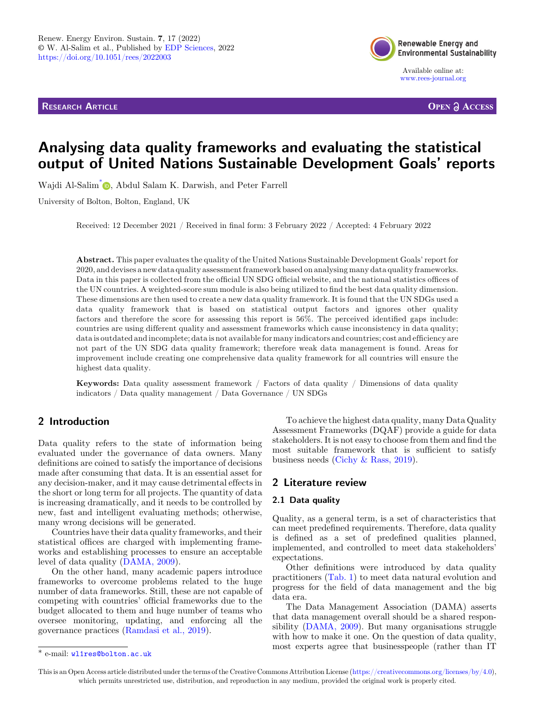RESEARCH ARTICLE



Available online at: [www.rees-journal.org](https://www.rees-journal.org)

**OPEN A ACCESS** 

# Analysing data quality frameworks and evaluating the statistical output of United Nations Sustainable Development Goals' reports

Wajdi Al-Salim<sup>\*</sup> [,](https://orcid.org/0000-0002-2787-8812) Abdul Salam K. Darwish[, and Peter Farrell](https://orcid.org/)

University of Bolton, Bolton, England, UK

Received: 12 December 2021 / Received in final form: 3 February 2022 / Accepted: 4 February 2022

Abstract. This paper evaluates the quality of the United Nations Sustainable Development Goals' report for 2020, and devises a new data quality assessment framework based on analysing many data quality frameworks. Data in this paper is collected from the official UN SDG official website, and the national statistics offices of the UN countries. A weighted-score sum module is also being utilized to find the best data quality dimension. These dimensions are then used to create a new data quality framework. It is found that the UN SDGs used a data quality framework that is based on statistical output factors and ignores other quality factors and therefore the score for assessing this report is 56%. The perceived identified gaps include: countries are using different quality and assessment frameworks which cause inconsistency in data quality; data is outdated and incomplete; data is not available for many indicators and countries; cost and efficiency are not part of the UN SDG data quality framework; therefore weak data management is found. Areas for improvement include creating one comprehensive data quality framework for all countries will ensure the highest data quality.

Keywords: Data quality assessment framework / Factors of data quality / Dimensions of data quality indicators / Data quality management / Data Governance / UN SDGs

## 2 Introduction

Data quality refers to the state of information being evaluated under the governance of data owners. Many definitions are coined to satisfy the importance of decisions made after consuming that data. It is an essential asset for any decision-maker, and it may cause detrimental effects in the short or long term for all projects. The quantity of data is increasing dramatically, and it needs to be controlled by new, fast and intelligent evaluating methods; otherwise, many wrong decisions will be generated.

Countries have their data quality frameworks, and their statistical offices are charged with implementing frameworks and establishing processes to ensure an acceptable level of data quality [\(DAMA, 2009\)](#page-11-0).

On the other hand, many academic papers introduce frameworks to overcome problems related to the huge number of data frameworks. Still, these are not capable of competing with countries' official frameworks due to the budget allocated to them and huge number of teams who oversee monitoring, updating, and enforcing all the governance practices ([Ramdasi et al., 2019\)](#page-11-0).

To achieve the highest data quality, many Data Quality Assessment Frameworks (DQAF) provide a guide for data stakeholders. It is not easy to choose from them and find the most suitable framework that is sufficient to satisfy business needs [\(Cichy & Rass, 2019\)](#page-11-0).

## 2 Literature review

#### 2.1 Data quality

Quality, as a general term, is a set of characteristics that can meet predefined requirements. Therefore, data quality is defined as a set of predefined qualities planned, implemented, and controlled to meet data stakeholders' expectations.

Other definitions were introduced by data quality practitioners [\(Tab. 1\)](#page-1-0) to meet data natural evolution and progress for the field of data management and the big data era.

The Data Management Association (DAMA) asserts that data management overall should be a shared responsibility ([DAMA, 2009\)](#page-11-0). But many organisations struggle with how to make it one. On the question of data quality, most experts agree that businesspeople (rather than IT \* e-mail: [wl1res@bolton.ac.uk](mailto:wl1res@bolton.ac.uk)

This is an Open Access article distributed under the terms of the Creative Commons Attribution License [\(https://creativecommons.org/licenses/by/4.0\)](https://creativecommons.org/licenses/by/4.0), which permits unrestricted use, distribution, and reproduction in any medium, provided the original work is properly cited.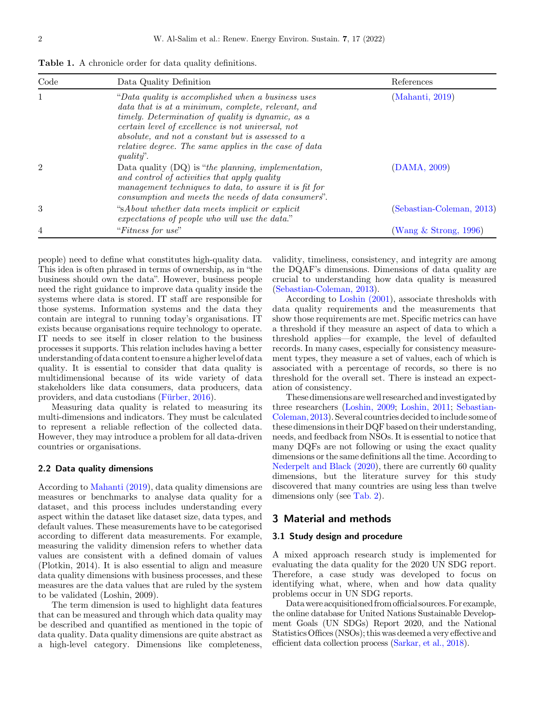<span id="page-1-0"></span>Table 1. A chronicle order for data quality definitions.

| Code           | Data Quality Definition                                                                                                                                                                                                                                                                                                                       | References                |
|----------------|-----------------------------------------------------------------------------------------------------------------------------------------------------------------------------------------------------------------------------------------------------------------------------------------------------------------------------------------------|---------------------------|
| 1              | "Data quality is accomplished when a business uses<br>data that is at a minimum, complete, relevant, and<br>timely. Determination of quality is dynamic, as a<br>certain level of excellence is not universal, not<br>absolute, and not a constant but is assessed to a<br>relative degree. The same applies in the case of data<br>quality". | (Mahanti, 2019)           |
| $\overline{2}$ | Data quality $(DQ)$ is "the planning, implementation,<br>and control of activities that apply quality<br>management techniques to data, to assure it is fit for<br>consumption and meets the needs of data consumers".                                                                                                                        | (DAMA, 2009)              |
| 3              | "sAbout whether data meets implicit or explicit<br>expectations of people who will use the data."                                                                                                                                                                                                                                             | (Sebastian-Coleman, 2013) |
| 4              | "Fitness for use"                                                                                                                                                                                                                                                                                                                             | (Wang $\&$ Strong, 1996)  |

people) need to define what constitutes high-quality data. This idea is often phrased in terms of ownership, as in "the business should own the data". However, business people need the right guidance to improve data quality inside the systems where data is stored. IT staff are responsible for those systems. Information systems and the data they contain are integral to running today's organisations. IT exists because organisations require technology to operate. IT needs to see itself in closer relation to the business processes it supports. This relation includes having a better understanding of data content to ensure a higher level of data quality. It is essential to consider that data quality is multidimensional because of its wide variety of data stakeholders like data consumers, data producers, data providers, and data custodians (Fü[rber, 2016](#page-11-0)).

Measuring data quality is related to measuring its multi-dimensions and indicators. They must be calculated to represent a reliable reflection of the collected data. However, they may introduce a problem for all data-driven countries or organisations.

#### 2.2 Data quality dimensions

According to [Mahanti \(2019\)](#page-11-0), data quality dimensions are measures or benchmarks to analyse data quality for a dataset, and this process includes understanding every aspect within the dataset like dataset size, data types, and default values. These measurements have to be categorised according to different data measurements. For example, measuring the validity dimension refers to whether data values are consistent with a defined domain of values (Plotkin, 2014). It is also essential to align and measure data quality dimensions with business processes, and these measures are the data values that are ruled by the system to be validated (Loshin, 2009).

The term dimension is used to highlight data features that can be measured and through which data quality may be described and quantified as mentioned in the topic of data quality. Data quality dimensions are quite abstract as a high-level category. Dimensions like completeness,

validity, timeliness, consistency, and integrity are among the DQAF's dimensions. Dimensions of data quality are crucial to understanding how data quality is measured [\(Sebastian-Coleman, 2013](#page-11-0)).

According to [Loshin \(2001\)](#page-11-0), associate thresholds with data quality requirements and the measurements that show those requirements are met. Specific metrics can have a threshold if they measure an aspect of data to which a threshold applies—for example, the level of defaulted records. In many cases, especially for consistency measurement types, they measure a set of values, each of which is associated with a percentage of records, so there is no threshold for the overall set. There is instead an expectation of consistency.

These dimensions are well researched andinvestigated by three researchers [\(Loshin, 2009;](#page-11-0) [Loshin, 2011;](#page-11-0) [Sebastian-](#page-11-0)[Coleman, 2013\)](#page-11-0). Several countries decided to include some of these dimensions in their DQF based on their understanding, needs, and feedback from NSOs. It is essential to notice that many DQFs are not following or using the exact quality dimensions or the same definitions all the time. According to [Nederpelt and Black \(2020\)](#page-11-0), there are currently 60 quality dimensions, but the literature survey for this study discovered that many countries are using less than twelve dimensions only (see [Tab. 2](#page-2-0)).

## 3 Material and methods

#### 3.1 Study design and procedure

A mixed approach research study is implemented for evaluating the data quality for the 2020 UN SDG report. Therefore, a case study was developed to focus on identifying what, where, when and how data quality problems occur in UN SDG reports.

Datawere acquisitioned from official sources.For example, the online database for United Nations Sustainable Development Goals (UN SDGs) Report 2020, and the National Statistics Offices (NSOs); this was deemed a very effective and efficient data collection process [\(Sarkar, et al., 2018](#page-11-0)).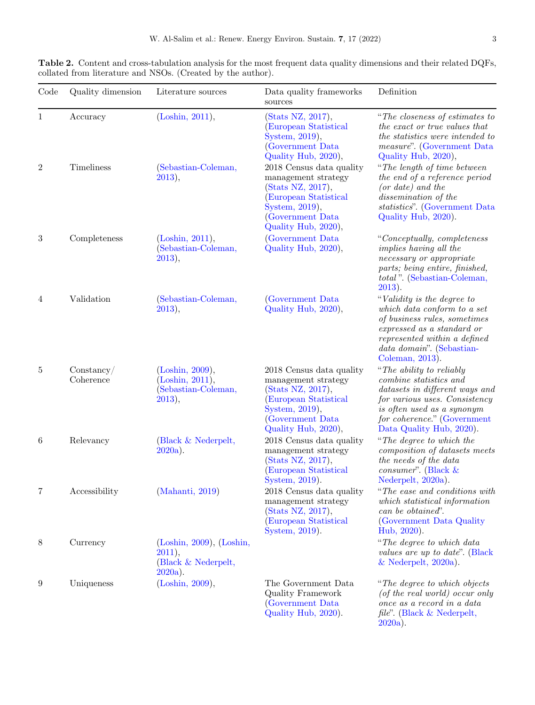| Code         | Quality dimension       | Literature sources                                                          | Data quality frameworks<br>sources                                                                                                                         | Definition                                                                                                                                                                                                     |
|--------------|-------------------------|-----------------------------------------------------------------------------|------------------------------------------------------------------------------------------------------------------------------------------------------------|----------------------------------------------------------------------------------------------------------------------------------------------------------------------------------------------------------------|
| $\mathbf{1}$ | Accuracy                | (Loshin, 2011),                                                             | (Stats NZ, 2017),<br>(European Statistical<br>System, 2019),<br>(Government Data<br>Quality Hub, 2020),                                                    | "The closeness of estimates to<br>the exact or true values that<br>the statistics were intended to<br>measure". (Government Data<br>Quality Hub, 2020),                                                        |
| $\,2$        | Timeliness              | (Sebastian-Coleman,<br>2013),                                               | 2018 Census data quality<br>management strategy<br>(Stats NZ, 2017),<br>(European Statistical<br>System, 2019),<br>(Government Data<br>Quality Hub, 2020), | "The length of time between"<br>the end of a reference period<br>$(or\ date)\ and\ the$<br>dissemination of the<br>statistics". (Government Data<br>Quality Hub, 2020).                                        |
| $\,3$        | Completeness            | (Loshin, 2011),<br>(Sebastian-Coleman,<br>2013),                            | (Government Data<br>Quality Hub, 2020),                                                                                                                    | "Conceptually, completeness<br><i>implies having all the</i><br>necessary or appropriate<br>parts; being entire, finished,<br>total". (Sebastian-Coleman,<br>$2013$ ).                                         |
| 4            | Validation              | (Sebastian-Coleman,<br>2013),                                               | (Government Data)<br>Quality Hub, 2020),                                                                                                                   | "Validity is the degree to<br>which data conform to a set<br>of business rules, sometimes<br>expressed as a standard or<br>represented within a defined<br>data domain". (Sebastian-<br>Coleman, 2013).        |
| 5            | Constanty/<br>Coherence | (Loshin, 2009),<br>(Loshin, 2011),<br>(Sebastian-Coleman,<br>2013),         | 2018 Census data quality<br>management strategy<br>(Stats NZ, 2017),<br>(European Statistical<br>System, 2019),<br>(Government Data<br>Quality Hub, 2020), | "The ability to reliably<br>combine statistics and<br>datasets in different ways and<br>for various uses. Consistency<br>is often used as a synonym<br>for coherence." (Government<br>Data Quality Hub, 2020). |
| 6            | Relevancy               | (Black & Nederpelt,<br>$2020a$ ).                                           | 2018 Census data quality<br>management strategy<br>(Stats NZ, 2017),<br>(European Statistical<br>System, 2019).                                            | "The degree to which the<br>composition of datasets meets<br>the needs of the data<br>consumer". (Black $\&$<br>Nederpelt, 2020a).                                                                             |
| 7            | Accessibility           | (Mahanti, 2019)                                                             | 2018 Census data quality<br>management strategy<br>$(Stats \ NZ, 2017),$<br>(European Statistical<br>System, 2019).                                        | "The ease and conditions with<br>which statistical information<br>can be obtained".<br>(Government Data Quality)<br>Hub, 2020).                                                                                |
| $8\,$        | Currency                | $(Loshin, 2009)$ , $(Loshin,$<br>2011,<br>(Black & Nederpelt,<br>$2020a$ ). |                                                                                                                                                            | "The degree to which data<br>values are up to date". (Black<br>$&$ Nederpelt, 2020a).                                                                                                                          |
| 9            | Uniqueness              | (Loshin, 2009),                                                             | The Government Data<br>Quality Framework<br>(Government Data<br>Quality Hub, 2020).                                                                        | "The degree to which objects"<br>(of the real world) occur only<br>once as a record in a data<br>file". (Black & Nederpelt,<br>2020a                                                                           |

[2020a](#page-11-0)).

<span id="page-2-0"></span>Table 2. Content and cross-tabulation analysis for the most frequent data quality dimensions and their related DQFs, collated from literature and NSOs. (Created by the author).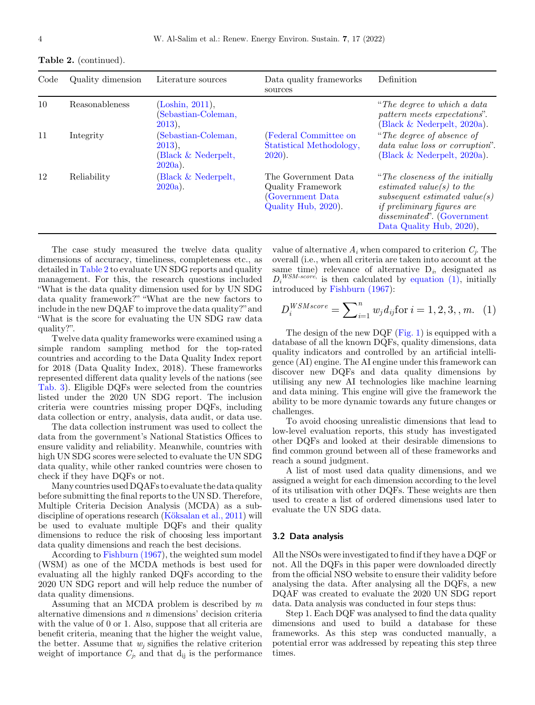| Code | Quality dimension | Literature sources                                                    | Data quality frameworks<br>sources                                                   | Definition                                                                                                                                                                                             |
|------|-------------------|-----------------------------------------------------------------------|--------------------------------------------------------------------------------------|--------------------------------------------------------------------------------------------------------------------------------------------------------------------------------------------------------|
| 10   | Reasonableness    | (Loshin, 2011),<br>(Sebastian-Coleman,<br>$2013$ ,                    |                                                                                      | "The degree to which a data"<br>pattern meets expectations".<br>(Black $& \text{Nederpelt}, 2020a$ ).                                                                                                  |
| 11   | Integrity         | (Sebastian-Coleman,<br>$2013$ ),<br>(Black & Nederpelt,<br>$2020a$ ). | (Federal Committee on<br>Statistical Methodology,<br>$2020$ ).                       | "The degree of absence of<br>data value loss or corruption".<br>(Black $& \text{Nederpelt}, 2020a$ ).                                                                                                  |
| 12   | Reliability       | (Black & Nederpelt,<br>$2020a$ ).                                     | The Government Data<br>Quality Framework<br>(Government Data)<br>Quality Hub, 2020). | "The closeness of the initially"<br>estimated value(s) to the<br>$subsequent$ estimated value(s)<br><i>if preliminary figures are</i><br><i>disseminated</i> . (Government<br>Data Quality Hub, 2020), |

The case study measured the twelve data quality dimensions of accuracy, timeliness, completeness etc., as detailed in [Table 2](#page-2-0) to evaluate UN SDG reports and quality management. For this, the research questions included "What is the data quality dimension used for by UN SDG data quality framework?" "What are the new factors to include in the new DQAF to improve the data quality?" and "What is the score for evaluating the UN SDG raw data quality?".

Twelve data quality frameworks were examined using a simple random sampling method for the top-rated countries and according to the Data Quality Index report for 2018 (Data Quality Index, 2018). These frameworks represented different data quality levels of the nations (see [Tab. 3\)](#page-4-0). Eligible DQFs were selected from the countries listed under the 2020 UN SDG report. The inclusion criteria were countries missing proper DQFs, including data collection or entry, analysis, data audit, or data use.

The data collection instrument was used to collect the data from the government's National Statistics Offices to ensure validity and reliability. Meanwhile, countries with high UN SDG scores were selected to evaluate the UN SDG data quality, while other ranked countries were chosen to check if they have DQFs or not.

Many countries used DQAFs to evaluate the data quality before submitting the final reports to the UN SD. Therefore, Multiple Criteria Decision Analysis (MCDA) as a subdiscipline of operations research ([Köksalan et al., 2011](#page-11-0)) will be used to evaluate multiple DQFs and their quality dimensions to reduce the risk of choosing less important data quality dimensions and reach the best decisions.

According to [Fishburn \(1967](#page-11-0)), the weighted sum model (WSM) as one of the MCDA methods is best used for evaluating all the highly ranked DQFs according to the 2020 UN SDG report and will help reduce the number of data quality dimensions.

Assuming that an MCDA problem is described by  $m$ alternative dimensions and n dimensions' decision criteria with the value of 0 or 1. Also, suppose that all criteria are benefit criteria, meaning that the higher the weight value, the better. Assume that  $w_j$  signifies the relative criterion weight of importance  $C_i$ , and that  $d_{ij}$  is the performance

value of alternative  $A_i$  when compared to criterion  $C_i$ . The overall (i.e., when all criteria are taken into account at the same time) relevance of alternative  $D_i$ , designated as  $D_i^{WSM-score}$  is then calculated by equation (1), initially introduced by [Fishburn \(1967](#page-11-0)):

$$
D_i^{WSMscore} = \sum_{i=1}^n w_j d_{ij} \text{for } i = 1, 2, 3, m. \quad (1)
$$

The design of the new DQF [\(Fig. 1](#page-4-0)) is equipped with a database of all the known DQFs, quality dimensions, data quality indicators and controlled by an artificial intelligence (AI) engine. The AI engine under this framework can discover new DQFs and data quality dimensions by utilising any new AI technologies like machine learning and data mining. This engine will give the framework the ability to be more dynamic towards any future changes or challenges.

To avoid choosing unrealistic dimensions that lead to low-level evaluation reports, this study has investigated other DQFs and looked at their desirable dimensions to find common ground between all of these frameworks and reach a sound judgment.

A list of most used data quality dimensions, and we assigned a weight for each dimension according to the level of its utilisation with other DQFs. These weights are then used to create a list of ordered dimensions used later to evaluate the UN SDG data.

#### 3.2 Data analysis

All the NSOs were investigated to find if they have a DQF or not. All the DQFs in this paper were downloaded directly from the official NSO website to ensure their validity before analysing the data. After analysing all the DQFs, a new DQAF was created to evaluate the 2020 UN SDG report data. Data analysis was conducted in four steps thus:

Step 1. Each DQF was analysed to find the data quality dimensions and used to build a database for these frameworks. As this step was conducted manually, a potential error was addressed by repeating this step three times.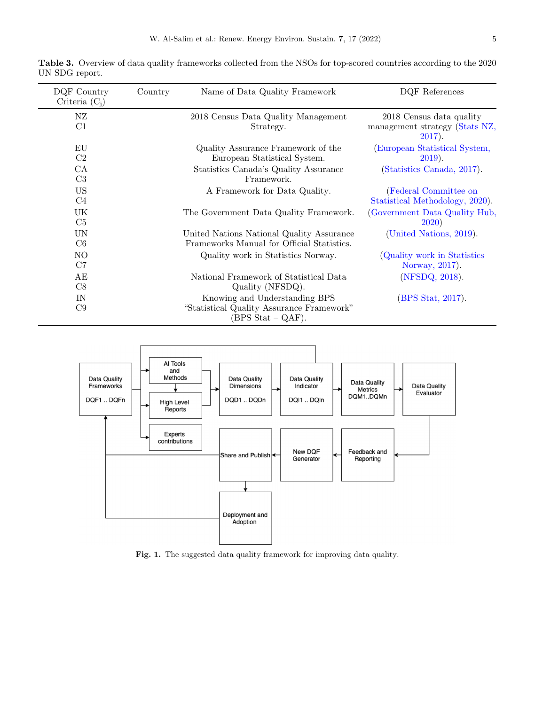| DQF Country<br>Criteria $(C_i)$ | Country | Name of Data Quality Framework                                                                            | DQF References                                                          |
|---------------------------------|---------|-----------------------------------------------------------------------------------------------------------|-------------------------------------------------------------------------|
| ΝZ<br>C1                        |         | 2018 Census Data Quality Management<br>Strategy.                                                          | 2018 Census data quality<br>management strategy (Stats NZ,<br>$2017$ ). |
| EU<br>C2                        |         | Quality Assurance Framework of the<br>European Statistical System.                                        | (European Statistical System,<br>$2019$ ).                              |
| CA<br>C <sub>3</sub>            |         | Statistics Canada's Quality Assurance<br>Framework.                                                       | (Statistics Canada, 2017).                                              |
| <b>US</b><br>C <sub>4</sub>     |         | A Framework for Data Quality.                                                                             | (Federal Committee on<br>Statistical Methodology, 2020).                |
| UK<br>C <sub>5</sub>            |         | The Government Data Quality Framework.                                                                    | (Government Data Quality Hub,<br><b>2020</b> )                          |
| <b>UN</b><br>C <sub>6</sub>     |         | United Nations National Quality Assurance<br>Frameworks Manual for Official Statistics.                   | (United Nations, 2019).                                                 |
| N <sub>O</sub><br>C7            |         | Quality work in Statistics Norway.                                                                        | (Quality work in Statistics)<br>Norway, 2017).                          |
| AE<br>C8                        |         | National Framework of Statistical Data<br>Quality (NFSDQ).                                                | (NFSDQ, 2018).                                                          |
| IN<br>C9                        |         | Knowing and Understanding BPS<br>"Statistical Quality Assurance Framework"<br>$(BPS \text{ Stat} - QAF).$ | (BPS Stat, 2017).                                                       |

<span id="page-4-0"></span>Table 3. Overview of data quality frameworks collected from the NSOs for top-scored countries according to the 2020 UN SDG report.



Fig. 1. The suggested data quality framework for improving data quality.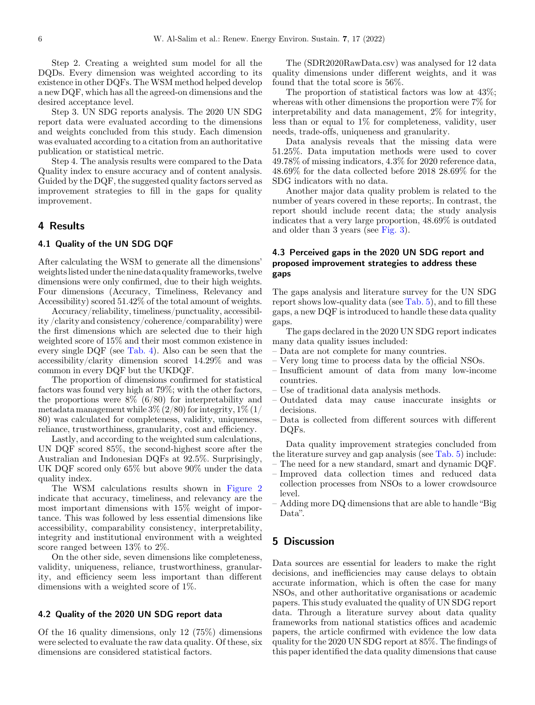Step 2. Creating a weighted sum model for all the DQDs. Every dimension was weighted according to its existence in other DQFs. The WSM method helped develop a new DQF, which has all the agreed-on dimensions and the desired acceptance level.

Step 3. UN SDG reports analysis. The 2020 UN SDG report data were evaluated according to the dimensions and weights concluded from this study. Each dimension was evaluated according to a citation from an authoritative publication or statistical metric.

Step 4. The analysis results were compared to the Data Quality index to ensure accuracy and of content analysis. Guided by the DQF, the suggested quality factors served as improvement strategies to fill in the gaps for quality improvement.

### 4 Results

#### 4.1 Quality of the UN SDG DQF

After calculating the WSM to generate all the dimensions' weightslisted under the nine data quality frameworks, twelve dimensions were only confirmed, due to their high weights. Four dimensions (Accuracy, Timeliness, Relevancy and Accessibility) scored 51.42% of the total amount of weights.

Accuracy/reliability, timeliness/punctuality, accessibility /clarity and consistency/coherence/comparability) were the first dimensions which are selected due to their high weighted score of 15% and their most common existence in every single DQF (see [Tab. 4\)](#page-6-0). Also can be seen that the accessibility/clarity dimension scored 14.29% and was common in every DQF but the UKDQF.

The proportion of dimensions confirmed for statistical factors was found very high at 79%; with the other factors, the proportions were  $8\%$  (6/80) for interpretability and metadata management while  $3\%$  (2/80) for integrity,  $1\%$  (1/ 80) was calculated for completeness, validity, uniqueness, reliance, trustworthiness, granularity, cost and efficiency.

Lastly, and according to the weighted sum calculations, UN DQF scored 85%, the second-highest score after the Australian and Indonesian DQFs at 92.5%. Surprisingly, UK DQF scored only 65% but above 90% under the data quality index.

The WSM calculations results shown in [Figure 2](#page-7-0) indicate that accuracy, timeliness, and relevancy are the most important dimensions with 15% weight of importance. This was followed by less essential dimensions like accessibility, comparability consistency, interpretability, integrity and institutional environment with a weighted score ranged between 13% to 2%.

On the other side, seven dimensions like completeness, validity, uniqueness, reliance, trustworthiness, granularity, and efficiency seem less important than different dimensions with a weighted score of 1%.

## 4.2 Quality of the 2020 UN SDG report data

Of the 16 quality dimensions, only 12 (75%) dimensions were selected to evaluate the raw data quality. Of these, six dimensions are considered statistical factors.

The (SDR2020RawData.csv) was analysed for 12 data quality dimensions under different weights, and it was found that the total score is 56%.

The proportion of statistical factors was low at 43%; whereas with other dimensions the proportion were 7% for interpretability and data management, 2% for integrity, less than or equal to  $1\%$  for completeness, validity, user needs, trade-offs, uniqueness and granularity.

Data analysis reveals that the missing data were 51.25%. Data imputation methods were used to cover 49.78% of missing indicators, 4.3% for 2020 reference data, 48.69% for the data collected before 2018 28.69% for the SDG indicators with no data.

Another major data quality problem is related to the number of years covered in these reports;. In contrast, the report should include recent data; the study analysis indicates that a very large proportion, 48.69% is outdated and older than 3 years (see [Fig. 3](#page-7-0)).

## 4.3 Perceived gaps in the 2020 UN SDG report and proposed improvement strategies to address these gaps

The gaps analysis and literature survey for the UN SDG report shows low-quality data (see [Tab. 5](#page-8-0)), and to fill these gaps, a new DQF is introduced to handle these data quality gaps.

The gaps declared in the 2020 UN SDG report indicates many data quality issues included:

- Data are not complete for many countries.
- Very long time to process data by the official NSOs.
- Insufficient amount of data from many low-income countries.
- Use of traditional data analysis methods.
- Outdated data may cause inaccurate insights or decisions.
- Data is collected from different sources with different DQFs.

Data quality improvement strategies concluded from the literature survey and gap analysis (see [Tab. 5\)](#page-8-0) include:

- The need for a new standard, smart and dynamic DQF. – Improved data collection times and reduced data
- collection processes from NSOs to a lower crowdsource level.
- Adding more DQ dimensions that are able to handle "Big Data".

## 5 Discussion

Data sources are essential for leaders to make the right decisions, and inefficiencies may cause delays to obtain accurate information, which is often the case for many NSOs, and other authoritative organisations or academic papers. This study evaluated the quality of UN SDG report data. Through a literature survey about data quality frameworks from national statistics offices and academic papers, the article confirmed with evidence the low data quality for the 2020 UN SDG report at 85%. The findings of this paper identified the data quality dimensions that cause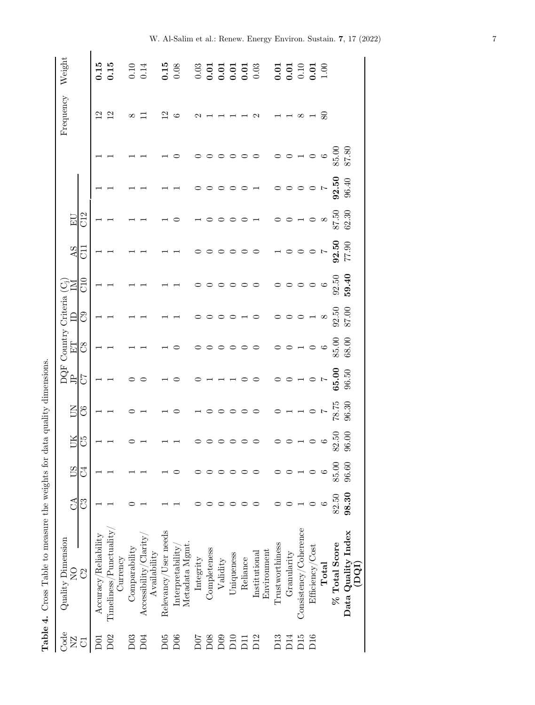<span id="page-6-0"></span>

|                 | Table 4. Cross Table to measure the weights for d |            |            |                                       |                                              | lata quality dimensions.                      |                                 |                                                           |                                 |                                          |             |                                                                                                    |                                 |                           |                                                      |
|-----------------|---------------------------------------------------|------------|------------|---------------------------------------|----------------------------------------------|-----------------------------------------------|---------------------------------|-----------------------------------------------------------|---------------------------------|------------------------------------------|-------------|----------------------------------------------------------------------------------------------------|---------------------------------|---------------------------|------------------------------------------------------|
| Code            | Quality Dimension                                 |            |            |                                       |                                              |                                               | DQF Country Criteria (C;        |                                                           |                                 |                                          |             |                                                                                                    |                                 | Frequency                 | Weight                                               |
| $\Sigma$        | $\frac{1}{2}$                                     | $C\Lambda$ | <b>CSO</b> | UК                                    | E                                            | È                                             | 日                               |                                                           | Ā                               | AS                                       | $E_{\rm U}$ |                                                                                                    |                                 |                           |                                                      |
| ਨ               | $\mathcal{C}^2$                                   | ೮          | ਹੋ         | C5                                    | $\mathcal{S}^{\mathcal{S}}$                  | $\mathcal{L}$                                 | $\infty$                        | C <sub>0</sub>                                            | C10                             | E                                        | C12         |                                                                                                    |                                 |                           |                                                      |
| 5<br>2          | $\rm Accuracy/Reliability$                        |            |            |                                       |                                              |                                               |                                 |                                                           |                                 |                                          |             |                                                                                                    |                                 |                           | 0.15                                                 |
| D02             | $T$ imeliness/Punctuality                         |            |            |                                       |                                              |                                               |                                 |                                                           |                                 |                                          |             |                                                                                                    |                                 | $\overline{2}$            | 0.15                                                 |
|                 | Ourrency                                          |            |            |                                       |                                              |                                               |                                 |                                                           |                                 |                                          |             |                                                                                                    |                                 |                           |                                                      |
| D03             | Comparability                                     |            |            |                                       |                                              |                                               |                                 |                                                           |                                 |                                          |             |                                                                                                    |                                 |                           | 0.10                                                 |
| D <sub>04</sub> | $\text{Accessibility/Clarity}$<br>Availability    |            |            |                                       |                                              |                                               |                                 |                                                           |                                 |                                          |             |                                                                                                    |                                 |                           | 0.14                                                 |
| D05             | Relevancy/User needs                              |            |            |                                       |                                              |                                               |                                 |                                                           |                                 |                                          |             |                                                                                                    |                                 | $\overline{\mathfrak{c}}$ | 0.15                                                 |
| D06             | Metadata Mgmt<br>Interpretability                 |            |            |                                       | $\circ$                                      |                                               | $\circ$                         |                                                           |                                 |                                          |             |                                                                                                    |                                 |                           | 0.08                                                 |
| D07             | Integrity                                         |            |            |                                       | $\overline{a}$                               |                                               |                                 |                                                           |                                 |                                          |             |                                                                                                    |                                 |                           | 0.03                                                 |
| D <sub>08</sub> | Completeness                                      |            |            |                                       |                                              |                                               | $\circ$                         |                                                           |                                 |                                          | $\circ$     |                                                                                                    |                                 |                           | 0.01                                                 |
| D09             | Validity                                          |            |            |                                       |                                              |                                               |                                 |                                                           |                                 |                                          |             |                                                                                                    |                                 |                           | 0.01                                                 |
| D10             | Uniqueness                                        |            |            |                                       |                                              |                                               |                                 |                                                           |                                 |                                          |             |                                                                                                    |                                 |                           | 0.01                                                 |
| $\overline{D}$  | Reliance                                          |            |            | $\circ \circ \circ \circ \circ \circ$ | $\circ$                                      |                                               | $\circ \circ \circ$             |                                                           |                                 | $\circ$                                  | $\circ$     | $\circ$                                                                                            |                                 |                           | $\begin{array}{c} \textbf{0.01} \\ 0.03 \end{array}$ |
| D12             | Environment<br>Institutional                      |            |            |                                       | $\circ$                                      |                                               |                                 | $\circ$                                                   |                                 |                                          |             |                                                                                                    |                                 |                           |                                                      |
| D13             | Trustworthiness                                   |            |            |                                       |                                              |                                               |                                 |                                                           |                                 |                                          |             |                                                                                                    |                                 |                           | 0.01                                                 |
| DI4             | Granularity                                       |            |            |                                       |                                              |                                               |                                 |                                                           |                                 |                                          |             |                                                                                                    |                                 |                           | 0.01                                                 |
| D15             | Consideray/Coherence                              |            |            | $\circ \circ \neg \circ \circ$        | $\begin{array}{c}\n0 \\ 0 \\ 0\n\end{array}$ | $\begin{array}{c} \n\mathbf{C} \n\end{array}$ | $\circ$ $\circ$ $\circ$ $\circ$ | $\circ \circ \circ \circ \mathop{\scriptstyle\mathsf{H}}$ | $\circ \circ \circ \circ \circ$ | $\begin{array}{c} \n\hline\n\end{array}$ | $\circ$     | $\begin{array}{c} \mathcal{A} & \mathcal{O} & \mathcal{O} & \mathcal{O} & \mathcal{O} \end{array}$ | $\circ$ $\circ$ $\circ$ $\circ$ |                           | 0.10                                                 |
| D16             | Efficiency/Cost                                   |            |            |                                       |                                              |                                               |                                 |                                                           |                                 |                                          |             |                                                                                                    |                                 |                           | 0.01                                                 |
|                 | $\rm Total$                                       |            |            |                                       |                                              |                                               | $\circ$                         | $\infty$                                                  |                                 |                                          |             |                                                                                                    | $\circ$                         | 80                        | 1.00                                                 |
|                 | % Total Score                                     | 82.50      | 85.00      | 82.50                                 | $78.75$<br>96.30                             | 65.00                                         | 85.00                           | 92.50                                                     | 92.50                           | 92.50                                    | 87.50       | 92.50                                                                                              | 85.80<br>87.80                  |                           |                                                      |
|                 | Data Quality Index<br>(DQI)                       | 98.30      | 96.60      | 96.00                                 |                                              | 96.50                                         | 68.00                           | 87.00                                                     | 59.40                           | 77.90                                    | 62.30       | 96.40                                                                                              |                                 |                           |                                                      |

| , a b b b to mooglime that the strong distance that the strong of a b to mooglime that the strong that the strong that the strong that the strong that the strong that the strong that the strong that the strong that the str<br>į<br>)<br>}<br>}<br>$\frac{1}{2}$<br> <br> <br> <br> <br>;<br>;<br>;<br>$\frac{1}{2}$ $\frac{1}{2}$ $\frac{1}{2}$ $\frac{1}{2}$ $\frac{1}{2}$ $\frac{1}{2}$<br>$-222 + 1$<br>;<br> <br>í<br>こうしょう こうしょう<br>うりりり<br>ĭ<br>į |                      |
|-------------------------------------------------------------------------------------------------------------------------------------------------------------------------------------------------------------------------------------------------------------------------------------------------------------------------------------------------------------------------------------------------------------------------------------------------------------|----------------------|
|                                                                                                                                                                                                                                                                                                                                                                                                                                                             |                      |
|                                                                                                                                                                                                                                                                                                                                                                                                                                                             |                      |
|                                                                                                                                                                                                                                                                                                                                                                                                                                                             |                      |
|                                                                                                                                                                                                                                                                                                                                                                                                                                                             |                      |
|                                                                                                                                                                                                                                                                                                                                                                                                                                                             |                      |
|                                                                                                                                                                                                                                                                                                                                                                                                                                                             |                      |
|                                                                                                                                                                                                                                                                                                                                                                                                                                                             |                      |
|                                                                                                                                                                                                                                                                                                                                                                                                                                                             |                      |
|                                                                                                                                                                                                                                                                                                                                                                                                                                                             |                      |
|                                                                                                                                                                                                                                                                                                                                                                                                                                                             | $T_2$ bilo $\Lambda$ |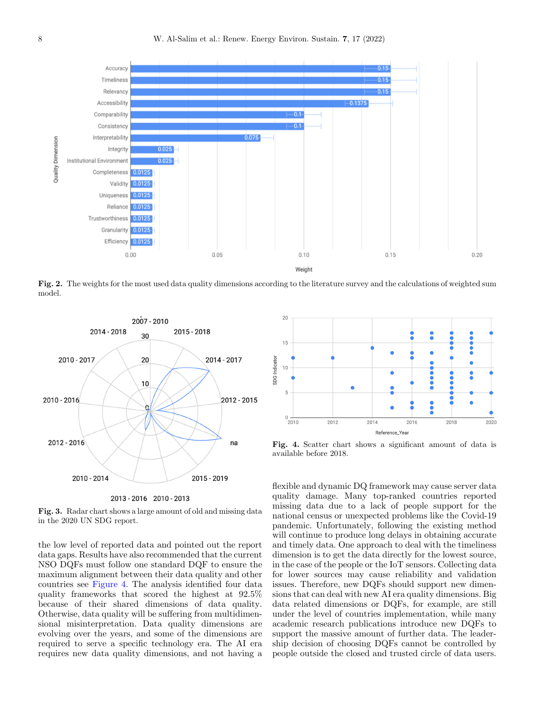<span id="page-7-0"></span>

Fig. 2. The weights for the most used data quality dimensions according to the literature survey and the calculations of weighted sum model.



2013 - 2016 2010 - 2013

Fig. 3. Radar chart shows a large amount of old and missing data in the 2020 UN SDG report.

the low level of reported data and pointed out the report data gaps. Results have also recommended that the current NSO DQFs must follow one standard DQF to ensure the maximum alignment between their data quality and other countries see Figure 4. The analysis identified four data quality frameworks that scored the highest at 92.5% because of their shared dimensions of data quality. Otherwise, data quality will be suffering from multidimensional misinterpretation. Data quality dimensions are evolving over the years, and some of the dimensions are required to serve a specific technology era. The AI era requires new data quality dimensions, and not having a



Fig. 4. Scatter chart shows a significant amount of data is available before 2018.

flexible and dynamic DQ framework may cause server data quality damage. Many top-ranked countries reported missing data due to a lack of people support for the national census or unexpected problems like the Covid-19 pandemic. Unfortunately, following the existing method will continue to produce long delays in obtaining accurate and timely data. One approach to deal with the timeliness dimension is to get the data directly for the lowest source, in the case of the people or the IoT sensors. Collecting data for lower sources may cause reliability and validation issues. Therefore, new DQFs should support new dimensions that can deal with new AI era quality dimensions. Big data related dimensions or DQFs, for example, are still under the level of countries implementation, while many academic research publications introduce new DQFs to support the massive amount of further data. The leadership decision of choosing DQFs cannot be controlled by people outside the closed and trusted circle of data users.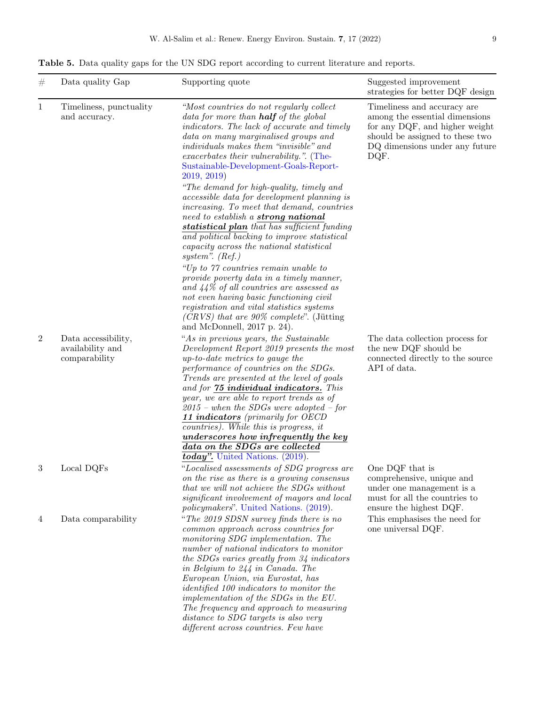<span id="page-8-0"></span>Table 5. Data quality gaps for the UN SDG report according to current literature and reports.

| $^{\#}$        | Data quality Gap                                         | Supporting quote                                                                                                                                                                                                                                                                                                                                                                                                                                                                                                                                          | Suggested improvement<br>strategies for better DQF design                                                                                                                    |
|----------------|----------------------------------------------------------|-----------------------------------------------------------------------------------------------------------------------------------------------------------------------------------------------------------------------------------------------------------------------------------------------------------------------------------------------------------------------------------------------------------------------------------------------------------------------------------------------------------------------------------------------------------|------------------------------------------------------------------------------------------------------------------------------------------------------------------------------|
| $\mathbf{1}$   | Timeliness, punctuality<br>and accuracy.                 | "Most countries do not regularly collect<br>data for more than <b>half</b> of the global<br>indicators. The lack of accurate and timely<br>data on many marginalised groups and<br><i>individuals makes them "invisible" and</i><br>exacerbates their vulnerability.". (The-<br>Sustainable-Development-Goals-Report-<br>2019, 2019                                                                                                                                                                                                                       | Timeliness and accuracy are<br>among the essential dimensions<br>for any DQF, and higher weight<br>should be assigned to these two<br>DQ dimensions under any future<br>DQF. |
|                |                                                          | "The demand for high-quality, timely and<br>accessible data for development planning is<br>increasing. To meet that demand, countries<br>need to establish a <b>strong national</b><br>statistical plan that has sufficient funding<br>and political backing to improve statistical<br>capacity across the national statistical<br>system". $(Ref.)$                                                                                                                                                                                                      |                                                                                                                                                                              |
|                |                                                          | "Up to 77 countries remain unable to<br>provide poverty data in a timely manner,<br>and $44\%$ of all countries are assessed as<br>not even having basic functioning civil<br>registration and vital statistics systems<br>$(CRVS)$ that are 90% complete". (Jütting<br>and McDonnell, $2017$ p. 24).                                                                                                                                                                                                                                                     |                                                                                                                                                                              |
| $\overline{2}$ | Data accessibility,<br>availability and<br>comparability | "As in previous years, the Sustainable<br>Development Report 2019 presents the most<br>up-to-date metrics to gauge the<br>performance of countries on the SDGs.<br>Trends are presented at the level of goals<br>and for 75 individual indicators. This<br>year, we are able to report trends as of<br>$2015$ – when the SDGs were adopted – for<br>11 indicators (primarily for OECD<br>countries). While this is progress, it<br>underscores how infrequently the key<br>data on the SDGs are collected<br>$\overline{today}$ . United Nations. (2019). | The data collection process for<br>the new DQF should be<br>connected directly to the source<br>API of data.                                                                 |
| 3              | Local DQFs                                               | "Localised assessments of SDG progress are<br>on the rise as there is a growing consensus<br>that we will not achieve the SDGs without<br>significant involvement of mayors and local<br><i>policymakers</i> ". United Nations. (2019).                                                                                                                                                                                                                                                                                                                   | One DQF that is<br>comprehensive, unique and<br>under one management is a<br>must for all the countries to<br>ensure the highest DQF.                                        |
| 4              | Data comparability                                       | "The 2019 SDSN survey finds there is no<br>common approach across countries for<br>monitoring SDG implementation. The<br>number of national indicators to monitor<br>the SDGs varies greatly from 34 indicators<br>in Belgium to $244$ in Canada. The<br>European Union, via Eurostat, has<br><i>identified 100 indicators to monitor the</i><br>implementation of the SDGs in the EU.<br>The frequency and approach to measuring<br>distance to SDG targets is also very<br>different across countries. Few have                                         | This emphasises the need for<br>one universal DQF.                                                                                                                           |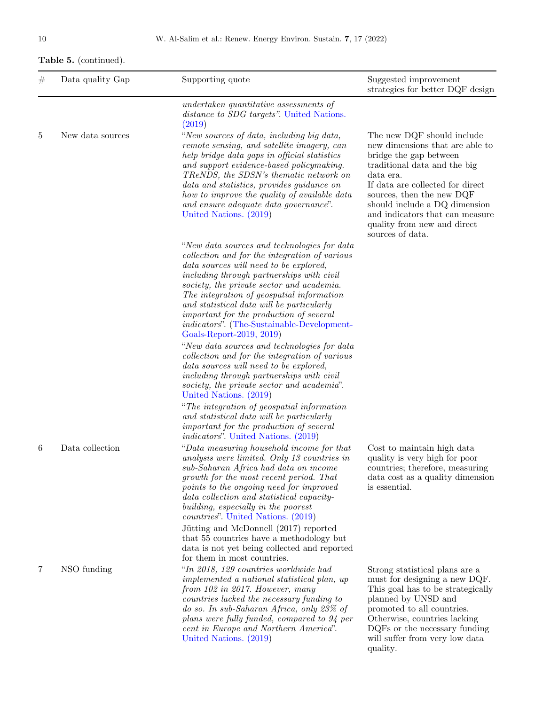# Table 5. (continued).

| # | Data quality Gap | Supporting quote                                                                                                                                                                                                                                                                                                                                                                                                                                                                               | Suggested improvement<br>strategies for better DQF design                                                                                                                                                                                                                                                                    |
|---|------------------|------------------------------------------------------------------------------------------------------------------------------------------------------------------------------------------------------------------------------------------------------------------------------------------------------------------------------------------------------------------------------------------------------------------------------------------------------------------------------------------------|------------------------------------------------------------------------------------------------------------------------------------------------------------------------------------------------------------------------------------------------------------------------------------------------------------------------------|
|   |                  | undertaken quantitative assessments of<br>distance to SDG targets". United Nations.<br>(2019)                                                                                                                                                                                                                                                                                                                                                                                                  |                                                                                                                                                                                                                                                                                                                              |
| 5 | New data sources | "New sources of data, including big data,<br>remote sensing, and satellite imagery, can<br>help bridge data gaps in official statistics<br>and support evidence-based policymaking.<br>TReNDS, the SDSN's thematic network on<br>data and statistics, provides guidance on<br>how to improve the quality of available data<br>and ensure adequate data governance".<br>United Nations. (2019)                                                                                                  | The new DQF should include<br>new dimensions that are able to<br>bridge the gap between<br>traditional data and the big<br>data era.<br>If data are collected for direct<br>sources, then the new DQF<br>should include a DQ dimension<br>and indicators that can measure<br>quality from new and direct<br>sources of data. |
|   |                  | "New data sources and technologies for data<br>collection and for the integration of various<br>data sources will need to be explored,<br>including through partnerships with civil<br>society, the private sector and academia.<br>The integration of geospatial information<br>and statistical data will be particularly<br>important for the production of several<br><i>indicators</i> ". (The-Sustainable-Development-<br>Goals-Report-2019, 2019)                                        |                                                                                                                                                                                                                                                                                                                              |
|   |                  | "New data sources and technologies for data<br>collection and for the integration of various<br>data sources will need to be explored,<br>including through partnerships with civil<br>society, the private sector and academia".<br>United Nations. (2019)                                                                                                                                                                                                                                    |                                                                                                                                                                                                                                                                                                                              |
|   |                  | "The integration of geospatial information"<br>and statistical data will be particularly<br>important for the production of several<br><i>indicators</i> ". United Nations. (2019)                                                                                                                                                                                                                                                                                                             |                                                                                                                                                                                                                                                                                                                              |
| 6 | Data collection  | "Data measuring household income for that<br>analysis were limited. Only 13 countries in<br>sub-Saharan Africa had data on income<br>growth for the most recent period. That<br>points to the ongoing need for improved<br>data collection and statistical capacity-<br>building, especially in the poorest<br><i>countries</i> ". United Nations. (2019)<br>Jütting and McDonnell (2017) reported<br>that 55 countries have a methodology but<br>data is not yet being collected and reported | Cost to maintain high data<br>quality is very high for poor<br>countries; therefore, measuring<br>data cost as a quality dimension<br>is essential.                                                                                                                                                                          |
| 7 | NSO funding      | for them in most countries.<br>"In 2018, 129 countries worldwide had<br>implemented a national statistical plan, up<br>from 102 in 2017. However, many<br>countries lacked the necessary funding to<br>do so. In sub-Saharan Africa, only 23% of<br>plans were fully funded, compared to 94 per<br>cent in Europe and Northern America".<br>United Nations. (2019)                                                                                                                             | Strong statistical plans are a<br>must for designing a new DQF.<br>This goal has to be strategically<br>planned by UNSD and<br>promoted to all countries.<br>Otherwise, countries lacking<br>DQFs or the necessary funding<br>will suffer from very low data<br>quality.                                                     |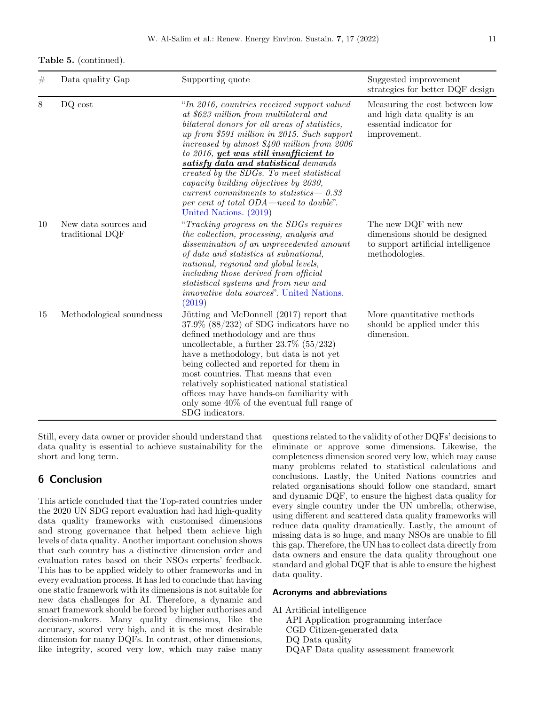|  | <b>Table 5.</b> (continued). |  |
|--|------------------------------|--|
|--|------------------------------|--|

| #  | Data quality Gap                        | Supporting quote                                                                                                                                                                                                                                                                                                                                                                                                                                                                                                                | Suggested improvement<br>strategies for better DQF design                                                     |
|----|-----------------------------------------|---------------------------------------------------------------------------------------------------------------------------------------------------------------------------------------------------------------------------------------------------------------------------------------------------------------------------------------------------------------------------------------------------------------------------------------------------------------------------------------------------------------------------------|---------------------------------------------------------------------------------------------------------------|
| 8  | DQ cost                                 | "In 2016, countries received support valued<br>at \$623 million from multilateral and<br>bilateral donors for all areas of statistics,<br>up from \$591 million in 2015. Such support<br>increased by almost $$400$ million from $2006$<br>to 2016, yet was still insufficient to<br>satisfy data and statistical demands<br>created by the SDGs. To meet statistical<br>capacity building objectives by 2030,<br>current commitments to statistics $-0.33$<br>per cent of total ODA—need to double".<br>United Nations. (2019) | Measuring the cost between low<br>and high data quality is an<br>essential indicator for<br>improvement.      |
| 10 | New data sources and<br>traditional DQF | "Tracking progress on the SDGs requires"<br>the collection, processing, analysis and<br>dissemination of an unprecedented amount<br>of data and statistics at subnational,<br>national, regional and global levels,<br>including those derived from official<br>statistical systems and from new and<br><i>innovative data sources</i> ". United Nations.<br>(2019)                                                                                                                                                             | The new DQF with new<br>dimensions should be designed<br>to support artificial intelligence<br>methodologies. |
| 15 | Methodological soundness                | Jütting and McDonnell (2017) report that<br>$37.9\%$ (88/232) of SDG indicators have no<br>defined methodology and are thus<br>uncollectable, a further $23.7\%$ (55/232)<br>have a methodology, but data is not yet<br>being collected and reported for them in<br>most countries. That means that even<br>relatively sophisticated national statistical<br>offices may have hands-on familiarity with<br>only some $40\%$ of the eventual full range of<br>SDG indicators.                                                    | More quantitative methods<br>should be applied under this<br>dimension.                                       |

Still, every data owner or provider should understand that data quality is essential to achieve sustainability for the short and long term.

## 6 Conclusion

This article concluded that the Top-rated countries under the 2020 UN SDG report evaluation had had high-quality data quality frameworks with customised dimensions and strong governance that helped them achieve high levels of data quality. Another important conclusion shows that each country has a distinctive dimension order and evaluation rates based on their NSOs experts' feedback. This has to be applied widely to other frameworks and in every evaluation process. It has led to conclude that having one static framework with its dimensions is not suitable for new data challenges for AI. Therefore, a dynamic and smart framework should be forced by higher authorises and decision-makers. Many quality dimensions, like the accuracy, scored very high, and it is the most desirable dimension for many DQFs. In contrast, other dimensions, like integrity, scored very low, which may raise many

questions related to the validity of other DQFs' decisions to eliminate or approve some dimensions. Likewise, the completeness dimension scored very low, which may cause many problems related to statistical calculations and conclusions. Lastly, the United Nations countries and related organisations should follow one standard, smart and dynamic DQF, to ensure the highest data quality for every single country under the UN umbrella; otherwise, using different and scattered data quality frameworks will reduce data quality dramatically. Lastly, the amount of missing data is so huge, and many NSOs are unable to fill this gap. Therefore, the UN has to collect data directly from data owners and ensure the data quality throughout one standard and global DQF that is able to ensure the highest data quality.

#### Acronyms and abbreviations

AI Artificial intelligence

API Application programming interface CGD Citizen-generated data DQ Data quality

DQAF Data quality assessment framework